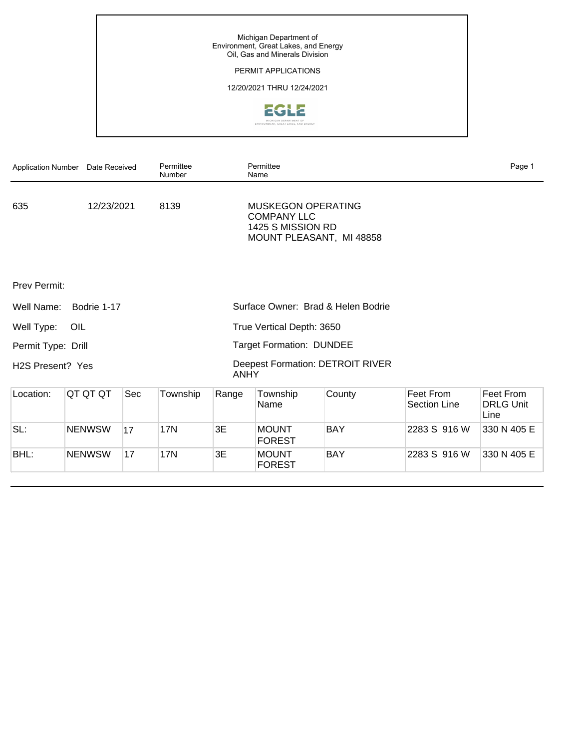# PERMIT APPLICATIONS

# 12/20/2021 THRU 12/24/2021



| <b>Application Number</b>     | Date Received |     | Permittee<br>Number       |                    | Permittee<br>Name                                                          |            |             |                                       | Page 1                                |
|-------------------------------|---------------|-----|---------------------------|--------------------|----------------------------------------------------------------------------|------------|-------------|---------------------------------------|---------------------------------------|
| 635                           | 12/23/2021    |     | 8139                      | <b>COMPANY LLC</b> | <b>MUSKEGON OPERATING</b><br>1425 S MISSION RD<br>MOUNT PLEASANT, MI 48858 |            |             | Mount Forest                          |                                       |
| <b>Prev Permit:</b>           |               |     |                           |                    |                                                                            |            |             | 17<br>۰                               |                                       |
| Well Name:                    | Bodrie 1-17   |     |                           |                    | Surface Owner: Brad & Helen Bodrie                                         |            |             |                                       |                                       |
| Well Type:                    | OIL           |     | True Vertical Depth: 3650 |                    |                                                                            |            |             |                                       |                                       |
| Permit Type: Drill            |               |     |                           |                    | <b>Target Formation: DUNDEE</b>                                            |            |             | Cody Este                             |                                       |
| H <sub>2</sub> S Present? Yes |               |     | <b>ANHY</b>               |                    | <b>Deepest Formation: DETROIT RIVER</b>                                    |            | SW/4 Sec 17 | Gen. Rule 40-acre Drilling Unit, NW/4 |                                       |
| Location:                     | QT QT QT      | Sec | Township                  | Range              | Township<br>Name                                                           | County     |             | Feet From<br><b>Section Line</b>      | Feet From<br><b>DRLG Unit</b><br>Line |
| SL:                           | <b>NENWSW</b> | 17  | <b>17N</b>                | 3E                 | <b>MOUNT</b><br><b>FOREST</b>                                              | <b>BAY</b> |             | 2283 S 916 W                          | 330 N 405 E                           |
| BHL:                          | <b>NENWSW</b> | 17  | <b>17N</b>                | 3E                 | <b>MOUNT</b><br><b>FOREST</b>                                              | <b>BAY</b> |             | 2283 S 916 W                          | 330 N 405 E                           |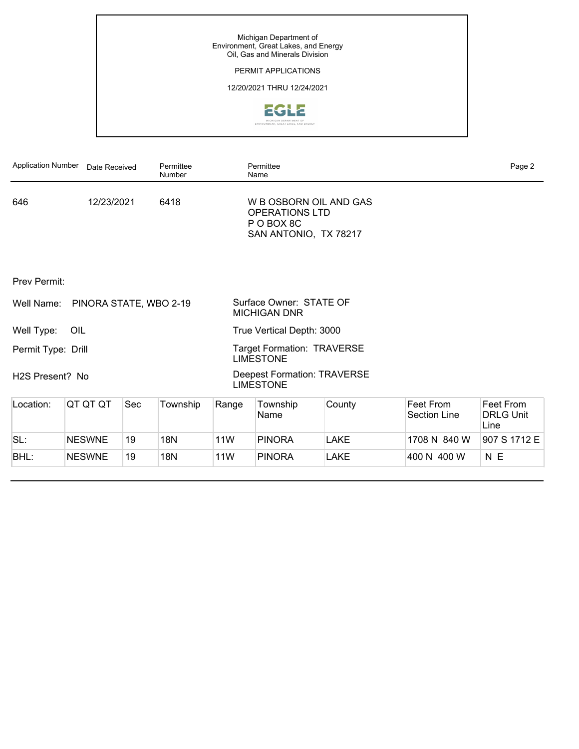# PERMIT APPLICATIONS

# 12/20/2021 THRU 12/24/2021



| <b>Application Number</b>    | Date Received    |     | Permittee<br>Number |              | Permittee<br>Name                                                                                     |                |                                                              | Page 2                                |  |
|------------------------------|------------------|-----|---------------------|--------------|-------------------------------------------------------------------------------------------------------|----------------|--------------------------------------------------------------|---------------------------------------|--|
| 653                          | 12/20/2021       |     | 5320                |              | <b>SAVOY ENERGY LP</b><br>920 HASTINGS STREET, SUITE A<br>PO BOX 1560<br>TRAVERSE CITY, MI 49685-1560 |                |                                                              | 1/2 Mile                              |  |
| <b>Prev Permit:</b>          |                  |     |                     |              |                                                                                                       |                | 21 s<br>x                                                    | 22                                    |  |
| Well Name:                   | Brunner 1-21 HD1 |     |                     | and Marilyn  | Surface Owner: Brunner, Stephen M.                                                                    |                |                                                              |                                       |  |
| Well Type:                   | OIL              |     |                     |              | True Vertical Depth: 3408                                                                             |                |                                                              |                                       |  |
| Permit Type: Drill           |                  |     |                     | <b>RIVER</b> | <b>Target Formation: TRENTON-BLACK</b>                                                                |                |                                                              |                                       |  |
| H <sub>2</sub> S Present? No |                  |     |                     | <b>RIVER</b> | <b>Deepest Formation: TRENTON-BLACK</b>                                                               |                | 240-Acre R303 Drilling unit, E/2<br>SE/4 Sec 21; SW/4 Sec 22 |                                       |  |
| Location:                    | QT QT QT         | Sec | Township            | Range        | Township<br>Name                                                                                      | County         | Feet From<br>Section Line                                    | Feet From<br><b>DRLG Unit</b><br>Line |  |
| SL:                          | <b>NWNESE</b>    |     | 21 4S               | 8W           | <b>ATHENS</b>                                                                                         | <b>CALHOUN</b> | 2340 S 726 E                                                 |                                       |  |
| BHL:                         | <b>NWSESW</b>    |     | 22 4S               | 8W           | <b>ATHENS</b>                                                                                         | <b>CALHOUN</b> | 1312 S 1965 W                                                | 1312 S 674 E                          |  |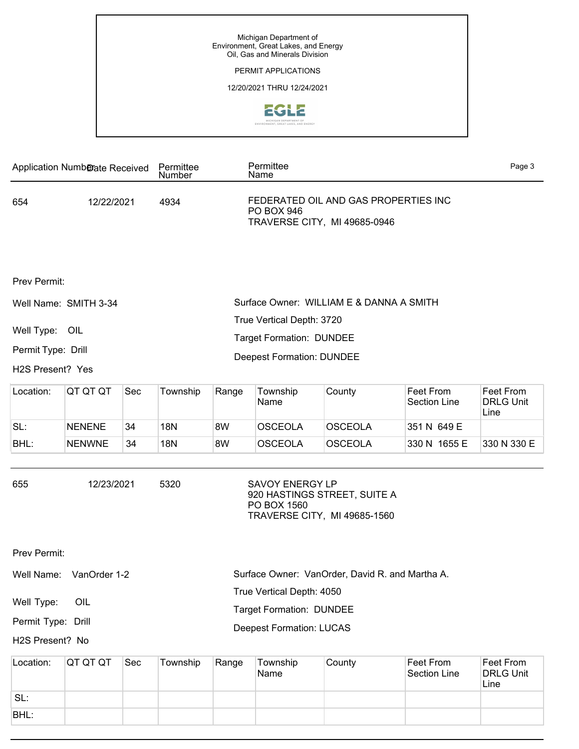## PERMIT APPLICATIONS

### 12/20/2021 THRU 12/24/2021



| Application Number Date Received                                              |               |     | Permittee<br>Name |                                 | Permittee<br>Name                                                                      |                                                          |                                                                                                                                                                                                         | Page 3                                |
|-------------------------------------------------------------------------------|---------------|-----|-------------------|---------------------------------|----------------------------------------------------------------------------------------|----------------------------------------------------------|---------------------------------------------------------------------------------------------------------------------------------------------------------------------------------------------------------|---------------------------------------|
| 654                                                                           | 12/22/2021    |     | 4934              | <b>PO BOX 946</b>               | FEDERATED OIL AND GAS PROPERTIES INC<br>TRAVERSE CITY, MI 49685-0946                   | $\frac{1}{2}$ $\frac{1}{6}$<br>Main<br>Pine<br>Jefferson | Grand<br>Riverside<br>X                                                                                                                                                                                 |                                       |
| Prev Permit:<br>Well Name: SMITH 3-34<br>Well Type: OIL<br>Permit Type: Drill |               |     |                   |                                 | True Vertical Depth: 3720<br><b>Target Formation: DUNDEE</b>                           | Surface Owner: WILLIAM E & DANNA A SMITH                 | Washington<br>$\begin{array}{c}\n\phantom{00} \times \phantom{0} \text{G} \\ \hline\n\text{Sgond} \\ \hline\n\text{H} \text{Qond} \\ \end{array}$<br>cherry<br>River<br>† hiri<br>Fourth<br>6th<br>mloc | 34<br>US 10                           |
| H2S Present? Yes                                                              |               |     |                   |                                 | <b>Deepest Formation: DUNDEE</b>                                                       |                                                          | Gen. Rule 40-acre unit, NW/4 NE/4<br>Sec 34                                                                                                                                                             |                                       |
| Location:                                                                     | QT QT QT      | Sec | Township          | Range                           | Township<br>Name                                                                       | County                                                   | Feet From<br>Section Line                                                                                                                                                                               | Feet From<br><b>DRLG Unit</b><br>Line |
| SL:                                                                           | <b>NENENE</b> | 34  | <b>18N</b>        | 8W                              | <b>OSCEOLA</b>                                                                         | <b>OSCEOLA</b>                                           | 351 N 649 E                                                                                                                                                                                             |                                       |
| BHL:                                                                          | <b>NENWNE</b> | 34  | <b>18N</b>        | 8W                              | <b>OSCEOLA</b>                                                                         | <b>OSCEOLA</b>                                           | 330 N 1655 E                                                                                                                                                                                            | 330 N 330 E                           |
| 655                                                                           | 12/23/2021    |     | 5320              | PO BOX 1560                     | <b>SAVOY ENERGY LP</b><br>920 HASTINGS STREET, SUITE A<br>TRAVERSE CITY, MI 49685-1560 |                                                          | $\bullet$                                                                                                                                                                                               | 6 Mik                                 |
| Prev Permit:                                                                  |               |     |                   |                                 |                                                                                        |                                                          |                                                                                                                                                                                                         | 2                                     |
| Well Name:                                                                    | VanOrder 1-2  |     |                   |                                 |                                                                                        | Surface Owner: VanOrder, David R. and Martha A.          |                                                                                                                                                                                                         |                                       |
|                                                                               |               |     |                   | True Vertical Depth: 4050       |                                                                                        | Otte,                                                    |                                                                                                                                                                                                         |                                       |
| Well Type:                                                                    | OIL           |     |                   | <b>Target Formation: DUNDEE</b> |                                                                                        |                                                          |                                                                                                                                                                                                         |                                       |
| Permit Type: Drill                                                            |               |     |                   | <b>Deepest Formation: LUCAS</b> |                                                                                        |                                                          |                                                                                                                                                                                                         |                                       |

H2S Present? No

Gen. Rule 40-acre unit, NW/4 NE/4 Sec 34

| Location: | IQT QT QT     | Sec            | Township | Range | Township<br>Name | County         | ∣Feet From<br><sup>∖</sup> Section Line⊹ | Feet From<br><b>DRLG Unit</b><br>Line |
|-----------|---------------|----------------|----------|-------|------------------|----------------|------------------------------------------|---------------------------------------|
| SL:       | <b>NENENW</b> | $\overline{2}$ | 17N      | 8W    | EVART            | <b>OSCEOLA</b> | 335N 2115W                               |                                       |
| BHL:      | <b>NENENW</b> | $\overline{2}$ | 17N      | 8W    | <b>EVART</b>     | OSCEOLA        | 335N 2115W                               | 335N 498E                             |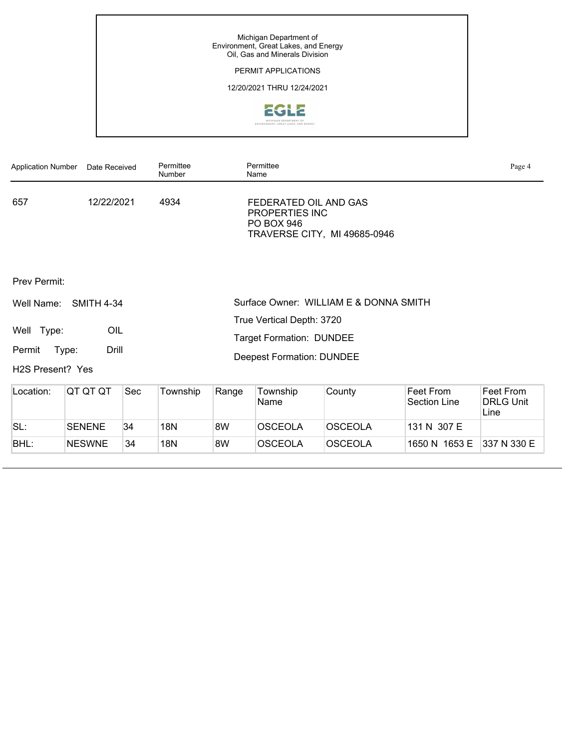# PERMIT APPLICATIONS

# 12/20/2021 THRU 12/24/2021



| <b>Application Number</b>     | Date Received     |     | Permittee<br>Number                       |                                     | Permittee<br>Name                                     |                |                                   |                                               | Page 4                                |
|-------------------------------|-------------------|-----|-------------------------------------------|-------------------------------------|-------------------------------------------------------|----------------|-----------------------------------|-----------------------------------------------|---------------------------------------|
| 657                           | 12/22/2021        |     | 4934                                      | PROPERTIES INC<br><b>PO BOX 946</b> | FEDERATED OIL AND GAS<br>TRAVERSE CITY, MI 49685-0946 |                |                                   | 원화<br>Main<br>Pine<br>Jefferson<br>Washington | Grand<br>Riverside<br>X               |
| <b>Prev Permit:</b>           |                   |     |                                           |                                     |                                                       |                | Cherry<br>$Cee$ dar               | 34<br>$rac{6}{5}$<br>River<br><b>Third</b>    |                                       |
| Well Name:                    | <b>SMITH 4-34</b> |     |                                           |                                     | Surface Owner: WILLIAM E & DONNA                      |                | <b>Liskedon River</b><br>Fourth   |                                               |                                       |
| Well Type:                    | OIL               |     | <b>SMITH</b><br>True Vertical Depth: 3720 |                                     |                                                       |                |                                   | $rac{1}{n}$                                   | US 10                                 |
| Type:<br>Permit               | Drill             |     |                                           |                                     | <b>Target Formation: DUNDEE</b>                       |                | Gen. Rule 40-acre unit, SW/4 NE/4 |                                               |                                       |
| H <sub>2</sub> S Present? Yes |                   |     |                                           |                                     | <b>Deepest Formation: DUNDEE</b>                      |                | Sec 34                            |                                               |                                       |
| Location:                     | QT QT QT          | Sec | Township                                  | Range                               | Township<br>Name                                      | County         |                                   | Feet From<br>Section Line                     | Feet From<br><b>DRLG Unit</b><br>Line |
| SL:                           | <b>SENENE</b>     | 34  | 18N                                       | 8W                                  | <b>OSCEOLA</b>                                        | <b>OSCEOLA</b> |                                   | 131 N 307 E                                   |                                       |
| BHL:                          | <b>NESWNE</b>     | 34  | <b>18N</b>                                | 8W                                  | <b>OSCEOLA</b>                                        | <b>OSCEOLA</b> |                                   | 1650 N 1653 E                                 | 337 N 330 E                           |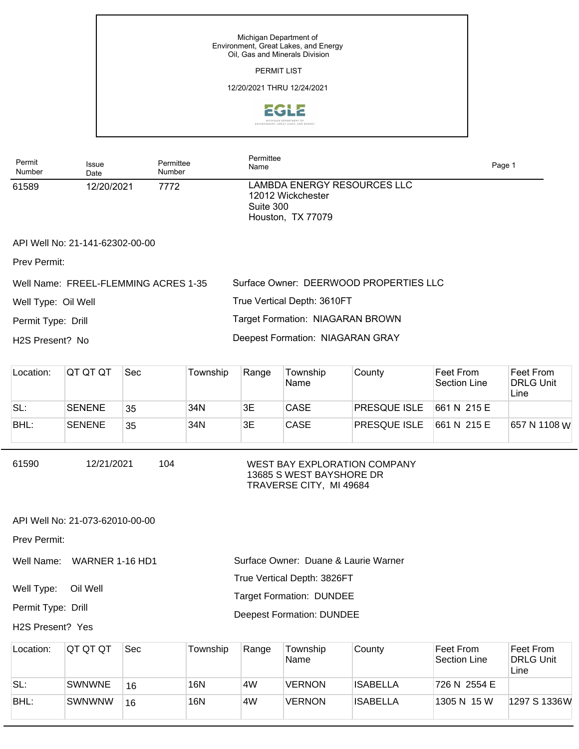|                     |                                 |                     |                                  | Michigan Department of<br><b>PERMIT LIST</b> | Environment, Great Lakes, and Energy<br>Oil, Gas and Minerals Division |                 |                                                                         |                                       |
|---------------------|---------------------------------|---------------------|----------------------------------|----------------------------------------------|------------------------------------------------------------------------|-----------------|-------------------------------------------------------------------------|---------------------------------------|
|                     |                                 |                     |                                  |                                              | 12/20/2021 THRU 12/24/2021                                             |                 |                                                                         |                                       |
|                     |                                 |                     |                                  |                                              | ENVIRONMENT, GREAT LAKES, AND ENERGY                                   |                 |                                                                         |                                       |
| Permit<br>Number    | <b>Issue</b><br>Date            | Permittee<br>Number |                                  | Permittee<br>Name                            |                                                                        |                 | Page 1                                                                  |                                       |
| 61589               | 12/20/2021                      | 7772                | Suite 300                        | 12012 Wickchester<br>Houston, TX 77079       | LAMBDA ENERGY RESOURCES LLC                                            |                 |                                                                         |                                       |
|                     | API Well No: 21-141-62302-00-00 |                     |                                  |                                              |                                                                        |                 |                                                                         |                                       |
| Prev Permit:        |                                 |                     |                                  |                                              |                                                                        |                 |                                                                         |                                       |
|                     | Well Name: FREEL-FLEMMING       |                     |                                  |                                              | Surface Owner: DEERWOOD PROPERTIES LLC                                 |                 |                                                                         |                                       |
| <b>ACRES 1-35</b>   |                                 |                     | True Vertical Depth: 3610FT      |                                              |                                                                        |                 |                                                                         |                                       |
| Well Type: Oil Well |                                 |                     |                                  |                                              | Target Formation: NIAGARAN BROWN                                       |                 |                                                                         |                                       |
| Permit Type: Drill  |                                 |                     |                                  |                                              | Deepest Formation: NIAGARAN GRAY                                       |                 |                                                                         |                                       |
| H2S Present? No     |                                 |                     |                                  |                                              |                                                                        |                 |                                                                         |                                       |
| Location:           | QT QT QT                        | Sec                 | Township                         | Range                                        | Township<br>Name                                                       | County          | Feet From<br><b>Section Line</b>                                        | Feet From<br><b>DRLG Unit</b><br>Line |
| SL:                 | <b>SENENE</b>                   | 35                  | 34N                              | 3E                                           | CASE                                                                   | PRESQUE ISLE    | 661 N 215 E                                                             |                                       |
| BHL:                | <b>SENENE</b>                   | 35                  | 34N                              | 3E                                           | CASE                                                                   | PRESQUE ISLE    | 661 N 215 E                                                             | 657 N 1108 W                          |
| 61590               | 12/21/2021                      | 104                 | TRAVERSE CITY, MI 49684          |                                              | WEST BAY EXPLORATION COMPANY<br>13685 S WEST BAYSHORE DR               |                 |                                                                         |                                       |
|                     | API Well No: 21-073-62010-00-00 |                     |                                  |                                              |                                                                        |                 | P                                                                       |                                       |
| Prev Permit:        |                                 |                     |                                  |                                              |                                                                        | 17              |                                                                         | 16<br>$\mathfrak{P}$                  |
| Well Name:          | WARNER 1-16 HD1                 |                     |                                  |                                              | Surface Owner: Duane & Laurie Warner                                   |                 |                                                                         |                                       |
| Well Type:          | Oil Well                        |                     | True Vertical Depth: 3826FT      |                                              |                                                                        |                 |                                                                         |                                       |
| Permit Type: Drill  |                                 |                     | <b>Target Formation: DUNDEE</b>  |                                              |                                                                        |                 |                                                                         |                                       |
| H2S Present? Yes    |                                 |                     | <b>Deepest Formation: DUNDEE</b> |                                              |                                                                        |                 | 320-Acre R303 Drilling unit, W/2 NE/4<br>Sec 17, NW/4, E/2 NE/4, Sec 16 |                                       |
| Location:           | QT QT QT                        | Sec                 | Township                         | Range                                        | Township<br>Name                                                       | County          | Feet From<br><b>Section Line</b>                                        | Feet From<br><b>DRLG Unit</b><br>Line |
| SL:                 | <b>SWNWNE</b>                   | 16                  | <b>16N</b>                       | 4W                                           | <b>VERNON</b>                                                          | <b>ISABELLA</b> | 726 N 2554 E                                                            |                                       |

 $\mathsf{l}$ 

 $\lceil$ 

BHL: SWNWNW 16 16N 4W VERNON ISABELLA 1305 N 15 W 1297 S 1336 W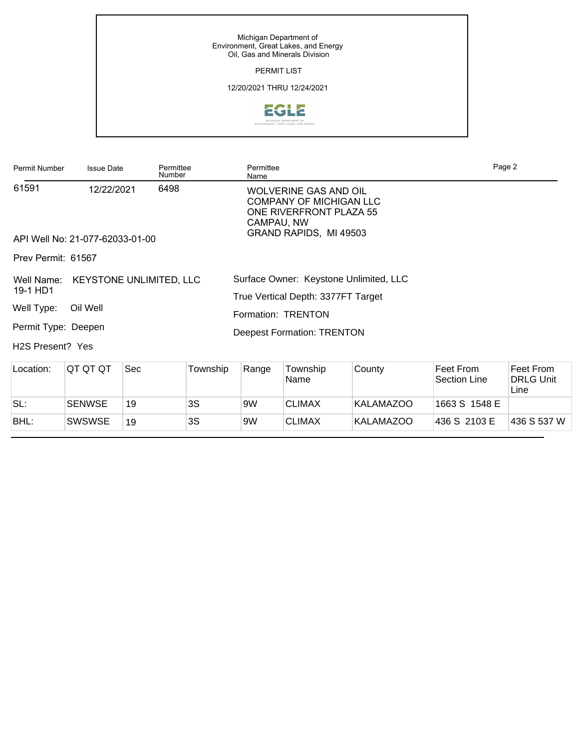Michigan Department of Environment, Great Lakes, and Energy Oil, Gas and Minerals Division PERMIT LIST 12/20/2021 THRU 12/24/2021 EGLE 

| Permit Number                                                       | <b>Issue Date</b>                                                                  | Permittee<br>Number                    |          | Permittee<br>Name                |                                                                                                                                                                                              |                  |                                                                                                                                                                                     | Page 2                                |
|---------------------------------------------------------------------|------------------------------------------------------------------------------------|----------------------------------------|----------|----------------------------------|----------------------------------------------------------------------------------------------------------------------------------------------------------------------------------------------|------------------|-------------------------------------------------------------------------------------------------------------------------------------------------------------------------------------|---------------------------------------|
| 61591<br>Prev Permit: 61567<br>Well Name:<br>19-1 HD1<br>Well Type: | 12/22/2021<br>API Well No: 21-077-62033-01-00<br>Oil Well<br>Permit Type: Re-entry | 6498<br><b>KEYSTONE UNLIMITED, LLC</b> |          | CAMPAU, NW<br>Formation: TRENTON | WOLVERINE GAS AND OIL<br><b>COMPANY OF MICHIGAN LLC</b><br>ONE RIVERFRONT PLAZA 55<br>GRAND RAPIDS, MI 49503<br>Surface Owner: Keystone Unlimited, LLC<br>True Vertical Depth: 3377FT Target |                  | TO3SROPW<br>Norscott<br>$\begin{array}{r} \frac{5}{3} \text{m} \text{ i} \frac{3}{3} \text{ m} \frac{3}{3} \\ -\frac{10}{3} \text{ m} \frac{1}{3} \text{ R} \end{array}$<br>19<br>Δ | OR<br>$\mathbf{x}$                    |
| H <sub>2</sub> S Present? Yes                                       |                                                                                    |                                        |          |                                  | <b>Deepest Formation: TRENTON</b>                                                                                                                                                            | Sec 19           | 80-acre R303 drilling unit; W/2 SE/4                                                                                                                                                |                                       |
| Location:                                                           | QT QT QT                                                                           | <b>Sec</b>                             | Township | Range                            | Township<br>Name                                                                                                                                                                             | County           | Feet From<br>Section Line                                                                                                                                                           | Feet From<br><b>DRLG Unit</b><br>Line |
| SL:                                                                 | 3S<br><b>SENWSE</b><br>19                                                          |                                        |          | <b>CLIMAX</b><br>9W              |                                                                                                                                                                                              | <b>KALAMAZOO</b> | 1663 S 1548 E                                                                                                                                                                       |                                       |
| BHL:                                                                | <b>SWSWSE</b>                                                                      | 19                                     | 3S       | 9W                               | <b>CLIMAX</b>                                                                                                                                                                                | <b>KALAMAZOO</b> | 436 S 2103 E                                                                                                                                                                        | 436 S 537 W                           |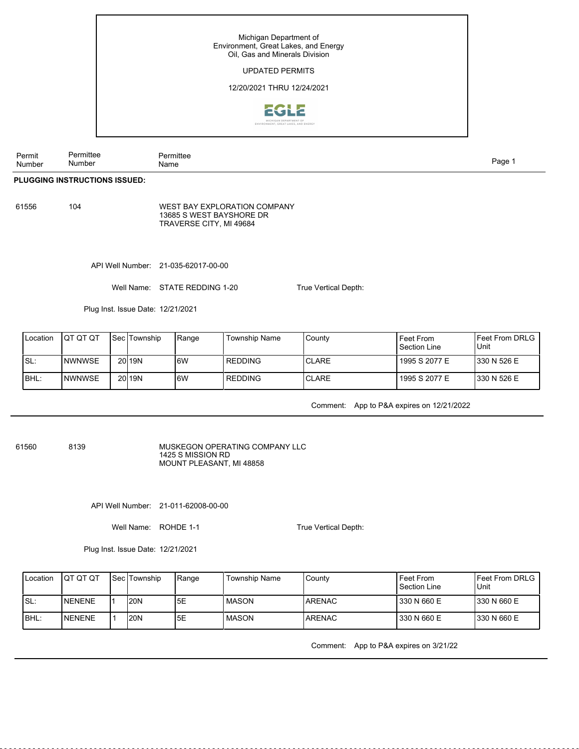# UPDATED PERMITS

### 12/20/2021 THRU 12/24/2021



Permit Number Permittee Number Permittee nde and the second state of the second state of the second state of the second state of the Page 1 and the second state  $\mathbb{P}$ 

#### **PLUGGING INSTRUCTIONS ISSUED:**

61556 104

WEST BAY EXPLORATION COMPANY 13685 S WEST BAYSHORE DR TRAVERSE CITY, MI 49684

API Well Number: 21-035-62017-00-00

Well Name: STATE REDDING 1-20

Plug Inst. Issue Date: 12/21/2021

| Location | ΙΟΤ ΟΤ ΟΤ     | l Sec lTownship | Range | Township Name | County        | Feet From<br>Section Line | <b>IFeet From DRLG</b><br>Unit |
|----------|---------------|-----------------|-------|---------------|---------------|---------------------------|--------------------------------|
| ISL:     | INWNWSE       | 20 <b>19N</b>   | l6W   | l REDDING     | <b>ICLARE</b> | 1995 S 2077 E             | 1330 N 526 E                   |
| IBHL:    | <b>NWNWSE</b> | 20119N          | l6W   | l REDDING     | ICLARE        | 1995 S 2077 E             | 1330 N 526 E                   |

Comment: App to P&A expires on 12/21/2022

61560 8139

MUSKEGON OPERATING COMPANY LLC 1425 S MISSION RD MOUNT PLEASANT, MI 48858

API Well Number: 21-011-62008-00-00

Well Name: ROHDE 1-1

Plug Inst. Issue Date: 12/21/2021

| Location | ΙΟΤ ΟΤ ΟΤ | <b>Sec Township</b> | 'Range          | Township Name | County  | Feet From<br>Section Line | IFeet From DRLG I<br>Unit |
|----------|-----------|---------------------|-----------------|---------------|---------|---------------------------|---------------------------|
| ISL:     | INENENE   | <b>20N</b>          | I <sub>5E</sub> | l MASON       | IARENAC | 330 N 660 E               | 1330 N 660 E              |
| IBHL:    | INENENE   | <b>20N</b>          | I <sub>5E</sub> | l MASON       | IARENAC | 330 N 660 E               | 1330 N 660 E              |

Comment: App to P&A expires on 3/21/22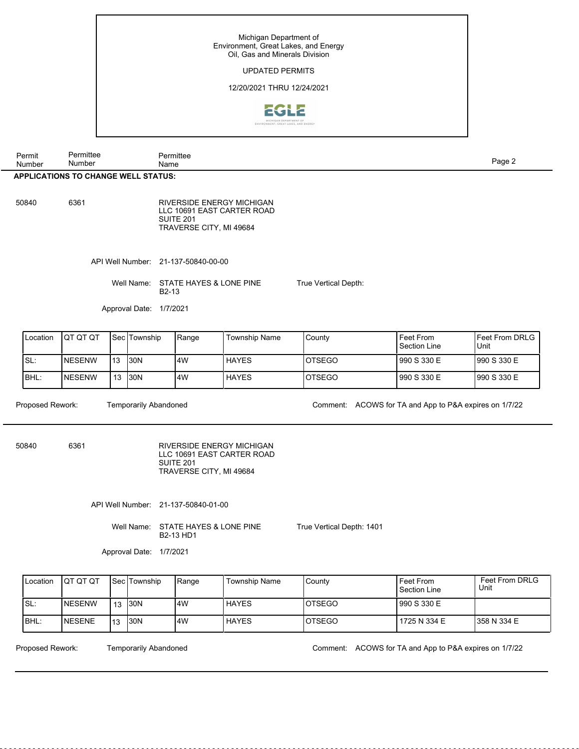# UPDATED PERMITS

### 12/20/2021 THRU 12/24/2021



| Permit<br>Number                           | Permittee<br>Number | Permittee<br>Name | Page $\angle$ |  |  |  |
|--------------------------------------------|---------------------|-------------------|---------------|--|--|--|
| <b>APPLICATIONS TO CHANGE WELL STATUS:</b> |                     |                   |               |  |  |  |

50840 6361

RIVERSIDE ENERGY MICHIGAN LLC 10691 EAST CARTER ROAD SUITE 201 TRAVERSE CITY, MI 49684

API Well Number: 21-137-50840-00-00

Well Name: STATE HAYES & LONE PINE B2-13

Approval Date: 1/7/2021

| <b>I</b> Location | <b>IQT QT QT</b> |     | l Sec lTownship | <b>I</b> Range | <b>Township Name</b> | County  | Feet From<br>Section Line | IFeet From DRLG I<br>Unit |
|-------------------|------------------|-----|-----------------|----------------|----------------------|---------|---------------------------|---------------------------|
| ISL:              | <b>INESENW</b>   | 113 | <b>I30N</b>     | l4W            | HAYES                | IOTSEGO | 990 S 330 E               | 1990 S 330 E              |
| BHL:              | <b>NESENW</b>    | 13  | I30N            | 14W            | <b>HAYES</b>         | IOTSEGO | 990 S 330 E               | 1990 S 330 E              |

Proposed Rework: Temporarily Abandoned Comment: ACOWS for TA and App to P&A expires on 1/7/22

50840 6361

RIVERSIDE ENERGY MICHIGAN LLC 10691 EAST CARTER ROAD SUITE 201 TRAVERSE CITY, MI 49684

API Well Number: 21-137-50840-01-00

Well Name: STATE HAYES & LONE PINE B2-13 HD1

True Vertical Depth: 1401

Approval Date: 1/7/2021

| <b>I</b> Location | <b>IQT QT QT</b> |    | <b>Sec Township</b> | <b>!Range</b> | <b>Township Name</b> | l Countv       | Feet From<br>Section Line | Feet From DRLG<br>Unit |
|-------------------|------------------|----|---------------------|---------------|----------------------|----------------|---------------------------|------------------------|
| ISL:              | INESENW          | 13 | <b>I</b> 30N        | l4W           | <b>HAYES</b>         | IOTSEGO        | l 990 S 330 E             |                        |
| IBHL:             | <b>INESENE</b>   | 13 | <b>30N</b>          | l4W           | <b>HAYES</b>         | <b>IOTSEGO</b> | 1725 N 334 E              | 1358 N 334 E           |

Temporarily Abandoned

Proposed Rework: Temporarily Abandoned Comment: ACOWS for TA and App to P&A expires on 1/7/22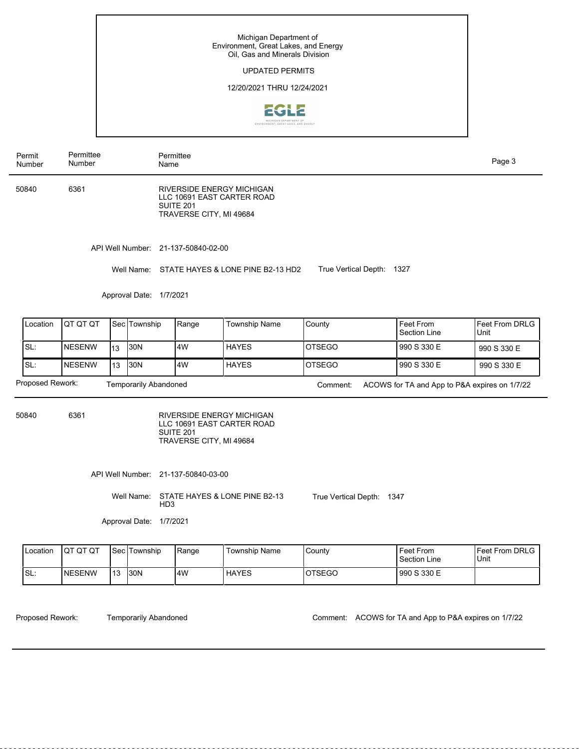# UPDATED PERMITS

### 12/20/2021 THRU 12/24/2021



Permit Number Permittee Number

50840 6361

RIVERSIDE ENERGY MICHIGAN LLC 10691 EAST CARTER ROAD SUITE 201 TRAVERSE CITY, MI 49684

API Well Number: 21-137-50840-02-00

Permittee Name

Well Name: STATE HAYES & LONE PINE B2-13 HD2 True Vertical Depth: 1327

Approval Date: 1/7/2021

| <b>I</b> Location                         | <b>IQT QT QT</b> |     | l Sec lTownship | Range | <b>Township Name</b> | County   | Feet From<br>Section Line                     | <b>IFeet From DRLG</b><br>l Unit |
|-------------------------------------------|------------------|-----|-----------------|-------|----------------------|----------|-----------------------------------------------|----------------------------------|
| ISL:                                      | <b>INESENW</b>   | l13 | 130N            | l4W   | <b>HAYES</b>         | IOTSEGO  | l 990 S 330 E                                 | 990 S 330 E                      |
| ISL:                                      | <b>INESENW</b>   | 113 | 130N            | l4W   | <b>HAYES</b>         | IOTSEGO  | l 990 S 330 E                                 | 990 S 330 E                      |
| Proposed Rework:<br>Temporarily Abandoned |                  |     |                 |       |                      | Comment: | ACOWS for TA and App to P&A expires on 1/7/22 |                                  |

50840 6361

RIVERSIDE ENERGY MICHIGAN LLC 10691 EAST CARTER ROAD SUITE 201 TRAVERSE CITY, MI 49684

API Well Number: 21-137-50840-03-00

Well Name: STATE HAYES & LONE PINE B2-13 HD3 True Vertical Depth: 1347

Approval Date: 1/7/2021

| Location | <b>IQT QT QT</b> |     | <b>I</b> Sec <i>Township</i> | Range | Township Name | County        | <b>Feet From</b><br>Section Line | <b>IFeet From DRLG</b><br>Unit |
|----------|------------------|-----|------------------------------|-------|---------------|---------------|----------------------------------|--------------------------------|
| !SL∶     | <b>INESENW</b>   | 113 | 130N                         | 4W    | <b>HAYES</b>  | <b>OTSEGO</b> | 990 S 330 E                      |                                |

Temporarily Abandoned

Proposed Rework: Temporarily Abandoned Comment: ACOWS for TA and App to P&A expires on 1/7/22

Page 3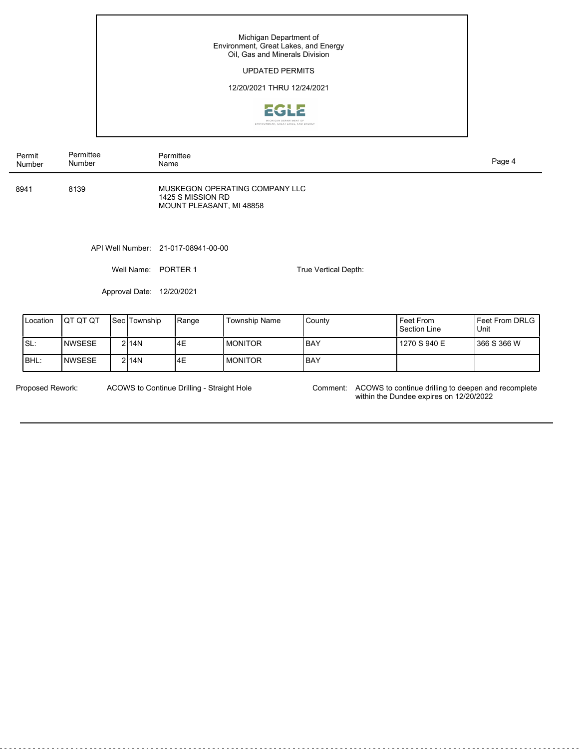### UPDATED PERMITS

### 12/20/2021 THRU 12/24/2021



| Permit | Number | Permittee<br>Number | Permittee<br>Name                                                               | Page 4 |
|--------|--------|---------------------|---------------------------------------------------------------------------------|--------|
| 8941   |        | 8139                | MUSKEGON OPERATING COMPANY LLC<br>1425 S MISSION RD<br>MOUNT PLEASANT, MI 48858 |        |
|        |        |                     | API Well Number: 21-017-08941-00-00                                             |        |

Well Name: PORTER 1

Approval Date: 12/20/2021

| Location | <b>IQT QT QT</b> | <b>Sec Township</b> | Range | <b>Township Name</b> | County | Feet From<br>Section Line | IFeet From DRLG I<br>Unit |
|----------|------------------|---------------------|-------|----------------------|--------|---------------------------|---------------------------|
| ISL:     | <b>INWSESE</b>   | 2114N               | 4E    | <b>MONITOR</b>       | IBAY   | 1270 S 940 E              | 1366 S 366 W              |
| IBHL:    | INWSESE          | 2114N               | 4E    | <b>MONITOR</b>       | IBAY   |                           |                           |

ACOWS to Continue Drilling - Straight Hole

Proposed Rework: ACOWS to Continue Drilling - Straight Hole Comment: ACOWS to continue drilling to deepen and recomplete within the Dundee expires on 12/20/2022